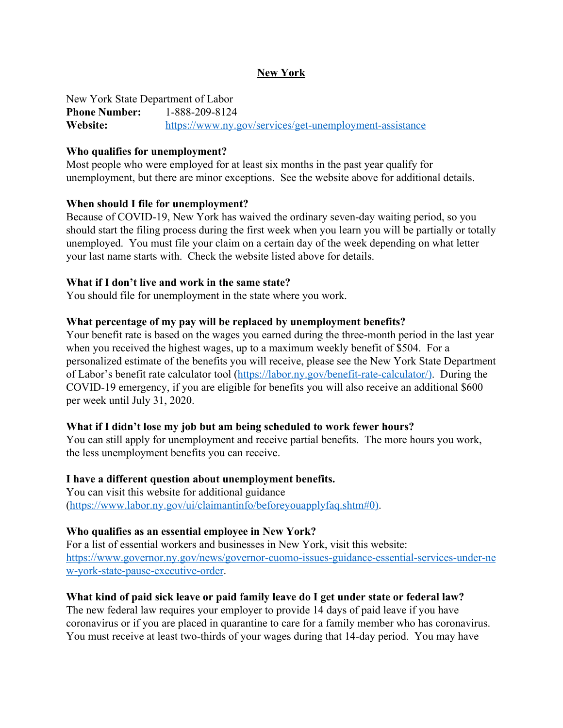## **New York**

New York State Department of Labor **Phone Number:** 1-888-209-8124 **Website:** <https://www.ny.gov/services/get-unemployment-assistance>

#### **Who qualifies for unemployment?**

Most people who were employed for at least six months in the past year qualify for unemployment, but there are minor exceptions. See the website above for additional details.

#### **When should I file for unemployment?**

Because of COVID-19, New York has waived the ordinary seven-day waiting period, so you should start the filing process during the first week when you learn you will be partially or totally unemployed. You must file your claim on a certain day of the week depending on what letter your last name starts with. Check the website listed above for details.

#### **What if I don't live and work in the same state?**

You should file for unemployment in the state where you work.

#### **What percentage of my pay will be replaced by unemployment benefits?**

Your benefit rate is based on the wages you earned during the three-month period in the last year when you received the highest wages, up to a maximum weekly benefit of \$504. For a personalized estimate of the benefits you will receive, please see the New York State Department of Labor's benefit rate calculator tool ([https://labor.ny.gov/benefit-rate-calculator/\).](https://labor.ny.gov/benefit-rate-calculator/)) During the COVID-19 emergency, if you are eligible for benefits you will also receive an additional \$600 per week until July 31, 2020.

#### **What if I didn't lose my job but am being scheduled to work fewer hours?**

You can still apply for unemployment and receive partial benefits. The more hours you work, the less unemployment benefits you can receive.

#### **I have a different question about unemployment benefits.**

You can visit this website for additional guidance ([https://www.labor.ny.gov/ui/claimantinfo/beforeyouapplyfaq.shtm#0\).](https://www.labor.ny.gov/ui/claimantinfo/beforeyouapplyfaq.shtm#0))

#### **Who qualifies as an essential employee in New York?**

For a list of essential workers and businesses in New York, visit this website: [https://www.governor.ny.gov/news/governor-cuomo-issues-guidance-essential-services-under-ne](https://www.governor.ny.gov/news/governor-cuomo-issues-guidance-essential-services-under-new-york-state-pause-executive-order) [w-york-state-pause-executive-order](https://www.governor.ny.gov/news/governor-cuomo-issues-guidance-essential-services-under-new-york-state-pause-executive-order).

#### **What kind of paid sick leave or paid family leave do I get under state or federal law?**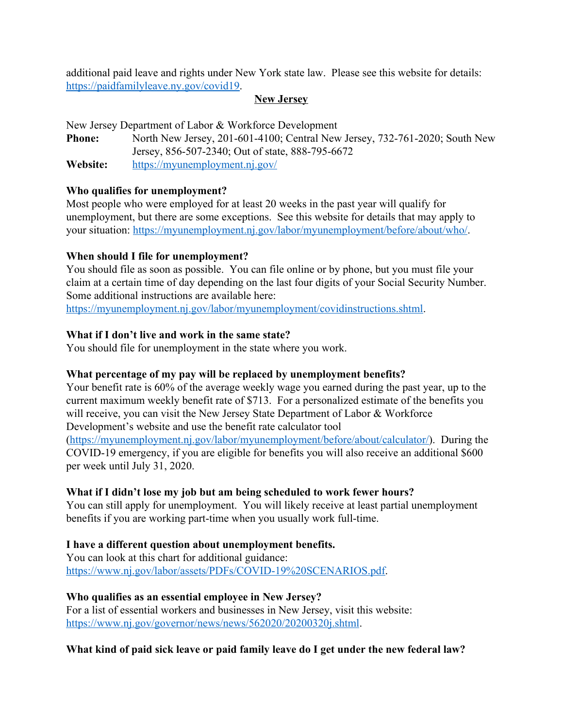additional paid leave and rights under New York state law. Please see this website for details: [https://paidfamilyleave.ny.gov/covid19.](https://paidfamilyleave.ny.gov/covid19)

# **New Jersey**

New Jersey Department of Labor & Workforce Development

**Phone:** North New Jersey, 201-601-4100; Central New Jersey, 732-761-2020; South New Jersey, 856-507-2340; Out of state, 888-795-6672 **Website:** <https://myunemployment.nj.gov/>

## **Who qualifies for unemployment?**

Most people who were employed for at least 20 weeks in the past year will qualify for unemployment, but there are some exceptions. See this website for details that may apply to your situation: <https://myunemployment.nj.gov/labor/myunemployment/before/about/who/>.

# **When should I file for unemployment?**

You should file as soon as possible. You can file online or by phone, but you must file your claim at a certain time of day depending on the last four digits of your Social Security Number. Some additional instructions are available here:

<https://myunemployment.nj.gov/labor/myunemployment/covidinstructions.shtml>.

## **What if I don't live and work in the same state?**

You should file for unemployment in the state where you work.

# **What percentage of my pay will be replaced by unemployment benefits?**

Your benefit rate is 60% of the average weekly wage you earned during the past year, up to the current maximum weekly benefit rate of \$713. For a personalized estimate of the benefits you will receive, you can visit the New Jersey State Department of Labor & Workforce Development's website and use the benefit rate calculator tool

(<https://myunemployment.nj.gov/labor/myunemployment/before/about/calculator/>). During the COVID-19 emergency, if you are eligible for benefits you will also receive an additional \$600 per week until July 31, 2020.

# **What if I didn't lose my job but am being scheduled to work fewer hours?**

You can still apply for unemployment. You will likely receive at least partial unemployment benefits if you are working part-time when you usually work full-time.

#### **I have a different question about unemployment benefits.**

You can look at this chart for additional guidance: <https://www.nj.gov/labor/assets/PDFs/COVID-19%20SCENARIOS.pdf>.

# **Who qualifies as an essential employee in New Jersey?**

For a list of essential workers and businesses in New Jersey, visit this website: [https://www.nj.gov/governor/news/news/562020/20200320j.shtml.](https://www.nj.gov/governor/news/news/562020/20200320j.shtml)

# **What kind of paid sick leave or paid family leave do I get under the new federal law?**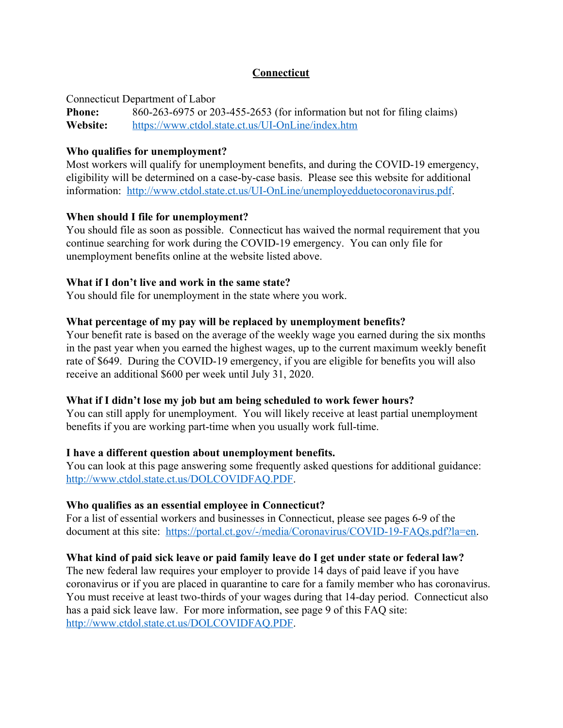# **Connecticut**

Connecticut Department of Labor

**Phone:** 860-263-6975 or 203-455-2653 (for information but not for filing claims) **Website:** <https://www.ctdol.state.ct.us/UI-OnLine/index.htm>

# **Who qualifies for unemployment?**

Most workers will qualify for unemployment benefits, and during the COVID-19 emergency, eligibility will be determined on a case-by-case basis. Please see this website for additional information: <http://www.ctdol.state.ct.us/UI-OnLine/unemployedduetocoronavirus.pdf>.

# **When should I file for unemployment?**

You should file as soon as possible. Connecticut has waived the normal requirement that you continue searching for work during the COVID-19 emergency. You can only file for unemployment benefits online at the website listed above.

# **What if I don't live and work in the same state?**

You should file for unemployment in the state where you work.

# **What percentage of my pay will be replaced by unemployment benefits?**

Your benefit rate is based on the average of the weekly wage you earned during the six months in the past year when you earned the highest wages, up to the current maximum weekly benefit rate of \$649. During the COVID-19 emergency, if you are eligible for benefits you will also receive an additional \$600 per week until July 31, 2020.

# **What if I didn't lose my job but am being scheduled to work fewer hours?**

You can still apply for unemployment. You will likely receive at least partial unemployment benefits if you are working part-time when you usually work full-time.

# **I have a different question about unemployment benefits.**

You can look at this page answering some frequently asked questions for additional guidance: [http://www.ctdol.state.ct.us/DOLCOVIDFAQ.PDF.](http://www.ctdol.state.ct.us/DOLCOVIDFAQ.PDF)

# **Who qualifies as an essential employee in Connecticut?**

For a list of essential workers and businesses in Connecticut, please see pages 6-9 of the document at this site: <https://portal.ct.gov/-/media/Coronavirus/COVID-19-FAQs.pdf?la=en>.

# **What kind of paid sick leave or paid family leave do I get under state or federal law?**

The new federal law requires your employer to provide 14 days of paid leave if you have coronavirus or if you are placed in quarantine to care for a family member who has coronavirus. You must receive at least two-thirds of your wages during that 14-day period. Connecticut also has a paid sick leave law. For more information, see page 9 of this FAQ site: [http://www.ctdol.state.ct.us/DOLCOVIDFAQ.PDF.](http://www.ctdol.state.ct.us/DOLCOVIDFAQ.PDF)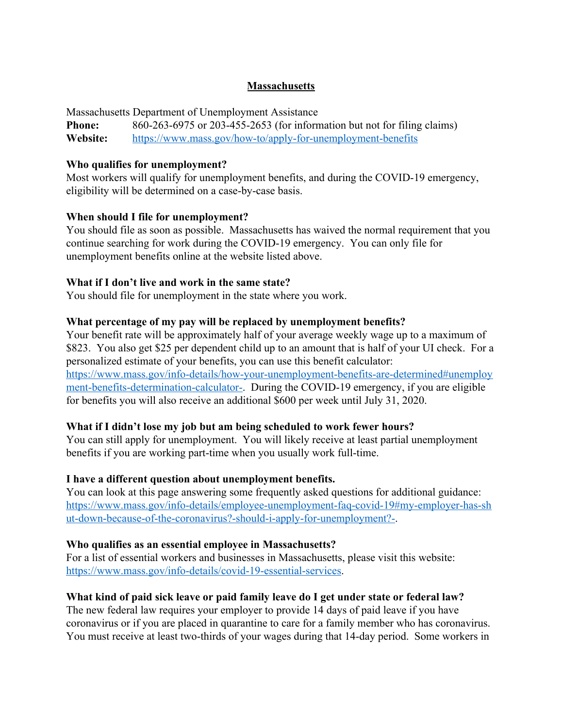# **Massachusetts**

Massachusetts Department of Unemployment Assistance **Phone:** 860-263-6975 or 203-455-2653 (for information but not for filing claims) **Website:** <https://www.mass.gov/how-to/apply-for-unemployment-benefits>

#### **Who qualifies for unemployment?**

Most workers will qualify for unemployment benefits, and during the COVID-19 emergency, eligibility will be determined on a case-by-case basis.

#### **When should I file for unemployment?**

You should file as soon as possible. Massachusetts has waived the normal requirement that you continue searching for work during the COVID-19 emergency. You can only file for unemployment benefits online at the website listed above.

#### **What if I don't live and work in the same state?**

You should file for unemployment in the state where you work.

#### **What percentage of my pay will be replaced by unemployment benefits?**

Your benefit rate will be approximately half of your average weekly wage up to a maximum of \$823. You also get \$25 per dependent child up to an amount that is half of your UI check. For a personalized estimate of your benefits, you can use this benefit calculator: [https://www.mass.gov/info-details/how-your-unemployment-benefits-are-determined#unemploy](https://www.mass.gov/info-details/how-your-unemployment-benefits-are-determined#unemployment-benefits-determination-calculator-) [ment-benefits-determination-calculator-.](https://www.mass.gov/info-details/how-your-unemployment-benefits-are-determined#unemployment-benefits-determination-calculator-) During the COVID-19 emergency, if you are eligible for benefits you will also receive an additional \$600 per week until July 31, 2020.

#### **What if I didn't lose my job but am being scheduled to work fewer hours?**

You can still apply for unemployment. You will likely receive at least partial unemployment benefits if you are working part-time when you usually work full-time.

#### **I have a different question about unemployment benefits.**

You can look at this page answering some frequently asked questions for additional guidance: [https://www.mass.gov/info-details/employee-unemployment-faq-covid-19#my-employer-has-sh](https://www.mass.gov/info-details/employee-unemployment-faq-covid-19#my-employer-has-shut-down-because-of-the-coronavirus?-should-i-apply-for-unemployment?-) [ut-down-because-of-the-coronavirus?-should-i-apply-for-unemployment?-.](https://www.mass.gov/info-details/employee-unemployment-faq-covid-19#my-employer-has-shut-down-because-of-the-coronavirus?-should-i-apply-for-unemployment?-)

#### **Who qualifies as an essential employee in Massachusetts?**

For a list of essential workers and businesses in Massachusetts, please visit this website: <https://www.mass.gov/info-details/covid-19-essential-services>.

#### **What kind of paid sick leave or paid family leave do I get under state or federal law?**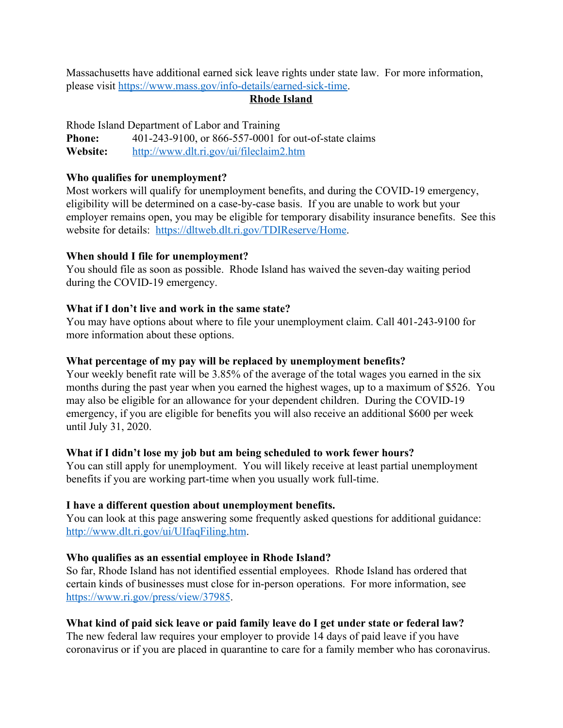Massachusetts have additional earned sick leave rights under state law. For more information, please visit [https://www.mass.gov/info-details/earned-sick-time.](https://www.mass.gov/info-details/earned-sick-time)

# **Rhode Island**

Rhode Island Department of Labor and Training **Phone:** 401-243-9100, or 866-557-0001 for out-of-state claims **Website:** <http://www.dlt.ri.gov/ui/fileclaim2.htm>

### **Who qualifies for unemployment?**

Most workers will qualify for unemployment benefits, and during the COVID-19 emergency, eligibility will be determined on a case-by-case basis. If you are unable to work but your employer remains open, you may be eligible for temporary disability insurance benefits. See this website for details: [https://dltweb.dlt.ri.gov/TDIReserve/Home.](https://dltweb.dlt.ri.gov/TDIReserve/Home)

## **When should I file for unemployment?**

You should file as soon as possible. Rhode Island has waived the seven-day waiting period during the COVID-19 emergency.

# **What if I don't live and work in the same state?**

You may have options about where to file your unemployment claim. Call 401-243-9100 for more information about these options.

## **What percentage of my pay will be replaced by unemployment benefits?**

Your weekly benefit rate will be 3.85% of the average of the total wages you earned in the six months during the past year when you earned the highest wages, up to a maximum of \$526. You may also be eligible for an allowance for your dependent children. During the COVID-19 emergency, if you are eligible for benefits you will also receive an additional \$600 per week until July 31, 2020.

# **What if I didn't lose my job but am being scheduled to work fewer hours?**

You can still apply for unemployment. You will likely receive at least partial unemployment benefits if you are working part-time when you usually work full-time.

# **I have a different question about unemployment benefits.**

You can look at this page answering some frequently asked questions for additional guidance: [http://www.dlt.ri.gov/ui/UIfaqFiling.htm.](http://www.dlt.ri.gov/ui/UIfaqFiling.htm)

# **Who qualifies as an essential employee in Rhode Island?**

So far, Rhode Island has not identified essential employees. Rhode Island has ordered that certain kinds of businesses must close for in-person operations. For more information, see <https://www.ri.gov/press/view/37985>.

# **What kind of paid sick leave or paid family leave do I get under state or federal law?**

The new federal law requires your employer to provide 14 days of paid leave if you have coronavirus or if you are placed in quarantine to care for a family member who has coronavirus.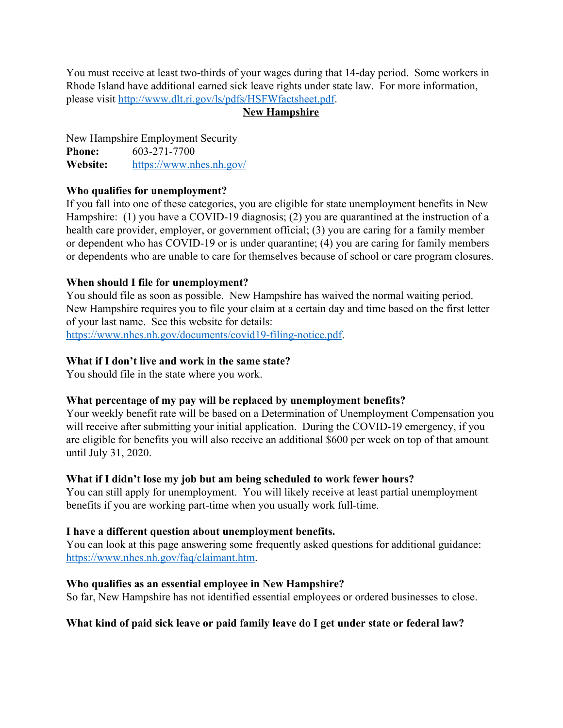You must receive at least two-thirds of your wages during that 14-day period. Some workers in Rhode Island have additional earned sick leave rights under state law. For more information, please visit [http://www.dlt.ri.gov/ls/pdfs/HSFWfactsheet.pdf.](http://www.dlt.ri.gov/ls/pdfs/HSFWfactsheet.pdf)

# **New Hampshire**

New Hampshire Employment Security **Phone:** 603-271-7700 **Website:** <https://www.nhes.nh.gov/>

# **Who qualifies for unemployment?**

If you fall into one of these categories, you are eligible for state unemployment benefits in New Hampshire: (1) you have a COVID-19 diagnosis; (2) you are quarantined at the instruction of a health care provider, employer, or government official; (3) you are caring for a family member or dependent who has COVID-19 or is under quarantine; (4) you are caring for family members or dependents who are unable to care for themselves because of school or care program closures.

# **When should I file for unemployment?**

You should file as soon as possible. New Hampshire has waived the normal waiting period. New Hampshire requires you to file your claim at a certain day and time based on the first letter of your last name. See this website for details: [https://www.nhes.nh.gov/documents/covid19-filing-notice.pdf.](https://www.nhes.nh.gov/documents/covid19-filing-notice.pdf)

# **What if I don't live and work in the same state?**

You should file in the state where you work.

# **What percentage of my pay will be replaced by unemployment benefits?**

Your weekly benefit rate will be based on a Determination of Unemployment Compensation you will receive after submitting your initial application. During the COVID-19 emergency, if you are eligible for benefits you will also receive an additional \$600 per week on top of that amount until July 31, 2020.

# **What if I didn't lose my job but am being scheduled to work fewer hours?**

You can still apply for unemployment. You will likely receive at least partial unemployment benefits if you are working part-time when you usually work full-time.

# **I have a different question about unemployment benefits.**

You can look at this page answering some frequently asked questions for additional guidance: [https://www.nhes.nh.gov/faq/claimant.htm.](https://www.nhes.nh.gov/faq/claimant.htm)

# **Who qualifies as an essential employee in New Hampshire?**

So far, New Hampshire has not identified essential employees or ordered businesses to close.

# **What kind of paid sick leave or paid family leave do I get under state or federal law?**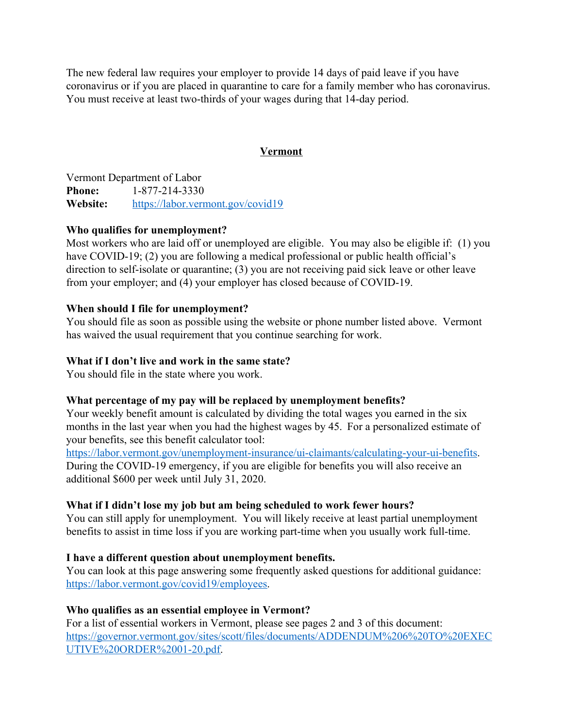The new federal law requires your employer to provide 14 days of paid leave if you have coronavirus or if you are placed in quarantine to care for a family member who has coronavirus. You must receive at least two-thirds of your wages during that 14-day period.

# **Vermont**

Vermont Department of Labor **Phone:** 1-877-214-3330 **Website:** <https://labor.vermont.gov/covid19>

# **Who qualifies for unemployment?**

Most workers who are laid off or unemployed are eligible. You may also be eligible if: (1) you have COVID-19; (2) you are following a medical professional or public health official's direction to self-isolate or quarantine; (3) you are not receiving paid sick leave or other leave from your employer; and (4) your employer has closed because of COVID-19.

# **When should I file for unemployment?**

You should file as soon as possible using the website or phone number listed above. Vermont has waived the usual requirement that you continue searching for work.

## **What if I don't live and work in the same state?**

You should file in the state where you work.

# **What percentage of my pay will be replaced by unemployment benefits?**

Your weekly benefit amount is calculated by dividing the total wages you earned in the six months in the last year when you had the highest wages by 45. For a personalized estimate of your benefits, see this benefit calculator tool:

<https://labor.vermont.gov/unemployment-insurance/ui-claimants/calculating-your-ui-benefits>. During the COVID-19 emergency, if you are eligible for benefits you will also receive an additional \$600 per week until July 31, 2020.

# **What if I didn't lose my job but am being scheduled to work fewer hours?**

You can still apply for unemployment. You will likely receive at least partial unemployment benefits to assist in time loss if you are working part-time when you usually work full-time.

# **I have a different question about unemployment benefits.**

You can look at this page answering some frequently asked questions for additional guidance: [https://labor.vermont.gov/covid19/employees.](https://labor.vermont.gov/covid19/employees)

# **Who qualifies as an essential employee in Vermont?**

For a list of essential workers in Vermont, please see pages 2 and 3 of this document: [https://governor.vermont.gov/sites/scott/files/documents/ADDENDUM%206%20TO%20EXEC](https://governor.vermont.gov/sites/scott/files/documents/ADDENDUM%206%20TO%20EXECUTIVE%20ORDER%2001-20.pdf) [UTIVE%20ORDER%2001-20.pdf.](https://governor.vermont.gov/sites/scott/files/documents/ADDENDUM%206%20TO%20EXECUTIVE%20ORDER%2001-20.pdf)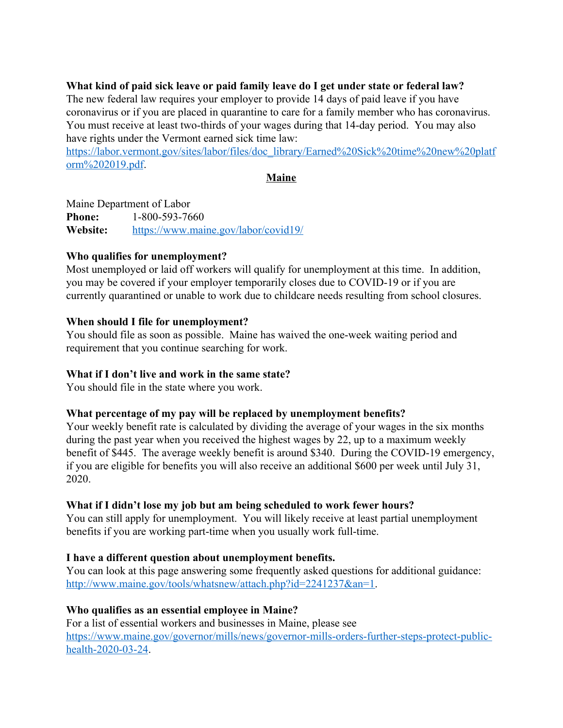# **What kind of paid sick leave or paid family leave do I get under state or federal law?**

The new federal law requires your employer to provide 14 days of paid leave if you have coronavirus or if you are placed in quarantine to care for a family member who has coronavirus. You must receive at least two-thirds of your wages during that 14-day period. You may also have rights under the Vermont earned sick time law:

[https://labor.vermont.gov/sites/labor/files/doc\\_library/Earned%20Sick%20time%20new%20platf](https://labor.vermont.gov/sites/labor/files/doc_library/Earned%20Sick%20time%20new%20platform%202019.pdf) [orm%202019.pdf](https://labor.vermont.gov/sites/labor/files/doc_library/Earned%20Sick%20time%20new%20platform%202019.pdf).

**Maine**

Maine Department of Labor **Phone:** 1-800-593-7660 **Website:** <https://www.maine.gov/labor/covid19/>

# **Who qualifies for unemployment?**

Most unemployed or laid off workers will qualify for unemployment at this time. In addition, you may be covered if your employer temporarily closes due to COVID-19 or if you are currently quarantined or unable to work due to childcare needs resulting from school closures.

## **When should I file for unemployment?**

You should file as soon as possible. Maine has waived the one-week waiting period and requirement that you continue searching for work.

# **What if I don't live and work in the same state?**

You should file in the state where you work.

# **What percentage of my pay will be replaced by unemployment benefits?**

Your weekly benefit rate is calculated by dividing the average of your wages in the six months during the past year when you received the highest wages by 22, up to a maximum weekly benefit of \$445. The average weekly benefit is around \$340. During the COVID-19 emergency, if you are eligible for benefits you will also receive an additional \$600 per week until July 31, 2020.

# **What if I didn't lose my job but am being scheduled to work fewer hours?**

You can still apply for unemployment. You will likely receive at least partial unemployment benefits if you are working part-time when you usually work full-time.

# **I have a different question about unemployment benefits.**

You can look at this page answering some frequently asked questions for additional guidance: [http://www.maine.gov/tools/whatsnew/attach.php?id=2241237&an=1.](http://www.maine.gov/tools/whatsnew/attach.php?id=2241237&an=1)

# **Who qualifies as an essential employee in Maine?**

For a list of essential workers and businesses in Maine, please see [https://www.maine.gov/governor/mills/news/governor-mills-orders-further-steps-protect-public](https://www.maine.gov/governor/mills/news/governor-mills-orders-further-steps-protect-public-health-2020-03-24)[health-2020-03-24](https://www.maine.gov/governor/mills/news/governor-mills-orders-further-steps-protect-public-health-2020-03-24).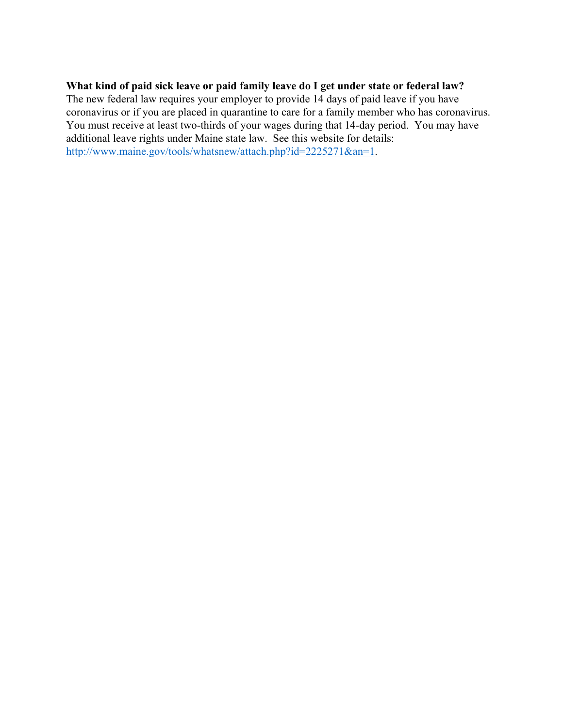# **What kind of paid sick leave or paid family leave do I get under state or federal law?**

The new federal law requires your employer to provide 14 days of paid leave if you have coronavirus or if you are placed in quarantine to care for a family member who has coronavirus. You must receive at least two-thirds of your wages during that 14-day period. You may have additional leave rights under Maine state law. See this website for details: [http://www.maine.gov/tools/whatsnew/attach.php?id=2225271&an=1.](http://www.maine.gov/tools/whatsnew/attach.php?id=2225271&an=1)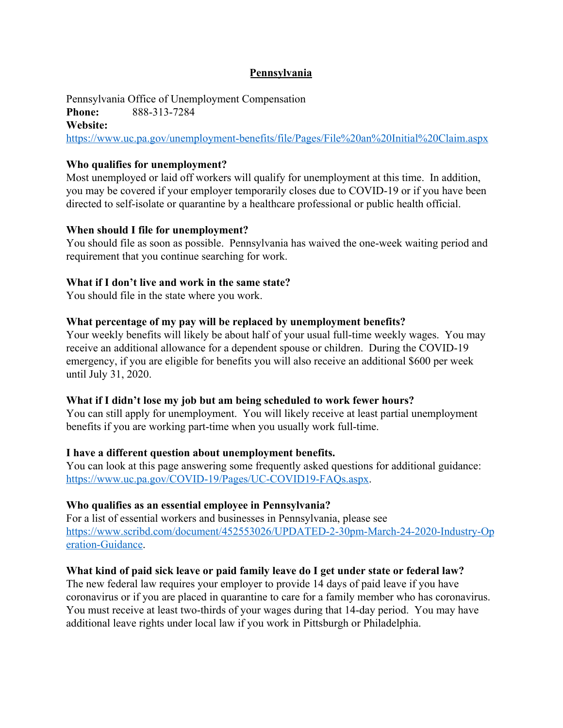## **Pennsylvania**

Pennsylvania Office of Unemployment Compensation **Phone:** 888-313-7284 **Website:** <https://www.uc.pa.gov/unemployment-benefits/file/Pages/File%20an%20Initial%20Claim.aspx>

## **Who qualifies for unemployment?**

Most unemployed or laid off workers will qualify for unemployment at this time. In addition, you may be covered if your employer temporarily closes due to COVID-19 or if you have been directed to self-isolate or quarantine by a healthcare professional or public health official.

## **When should I file for unemployment?**

You should file as soon as possible. Pennsylvania has waived the one-week waiting period and requirement that you continue searching for work.

## **What if I don't live and work in the same state?**

You should file in the state where you work.

## **What percentage of my pay will be replaced by unemployment benefits?**

Your weekly benefits will likely be about half of your usual full-time weekly wages. You may receive an additional allowance for a dependent spouse or children. During the COVID-19 emergency, if you are eligible for benefits you will also receive an additional \$600 per week until July 31, 2020.

#### **What if I didn't lose my job but am being scheduled to work fewer hours?**

You can still apply for unemployment. You will likely receive at least partial unemployment benefits if you are working part-time when you usually work full-time.

#### **I have a different question about unemployment benefits.**

You can look at this page answering some frequently asked questions for additional guidance: <https://www.uc.pa.gov/COVID-19/Pages/UC-COVID19-FAQs.aspx>.

#### **Who qualifies as an essential employee in Pennsylvania?**

For a list of essential workers and businesses in Pennsylvania, please see [https://www.scribd.com/document/452553026/UPDATED-2-30pm-March-24-2020-Industry-Op](https://www.scribd.com/document/452553026/UPDATED-2-30pm-March-24-2020-Industry-Operation-Guidance) [eration-Guidance](https://www.scribd.com/document/452553026/UPDATED-2-30pm-March-24-2020-Industry-Operation-Guidance).

# **What kind of paid sick leave or paid family leave do I get under state or federal law?**

The new federal law requires your employer to provide 14 days of paid leave if you have coronavirus or if you are placed in quarantine to care for a family member who has coronavirus. You must receive at least two-thirds of your wages during that 14-day period. You may have additional leave rights under local law if you work in Pittsburgh or Philadelphia.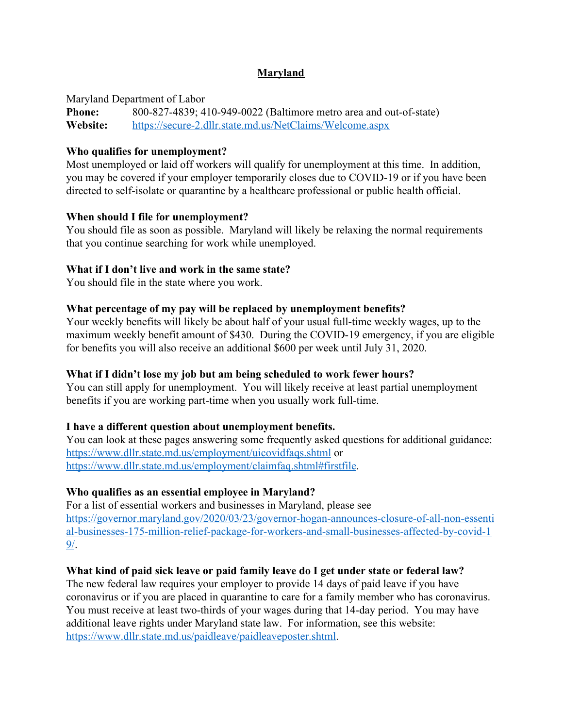# **Maryland**

Maryland Department of Labor

**Phone:** 800-827-4839; 410-949-0022 (Baltimore metro area and out-of-state) **Website:** <https://secure-2.dllr.state.md.us/NetClaims/Welcome.aspx>

# **Who qualifies for unemployment?**

Most unemployed or laid off workers will qualify for unemployment at this time. In addition, you may be covered if your employer temporarily closes due to COVID-19 or if you have been directed to self-isolate or quarantine by a healthcare professional or public health official.

## **When should I file for unemployment?**

You should file as soon as possible. Maryland will likely be relaxing the normal requirements that you continue searching for work while unemployed.

# **What if I don't live and work in the same state?**

You should file in the state where you work.

## **What percentage of my pay will be replaced by unemployment benefits?**

Your weekly benefits will likely be about half of your usual full-time weekly wages, up to the maximum weekly benefit amount of \$430. During the COVID-19 emergency, if you are eligible for benefits you will also receive an additional \$600 per week until July 31, 2020.

# **What if I didn't lose my job but am being scheduled to work fewer hours?**

You can still apply for unemployment. You will likely receive at least partial unemployment benefits if you are working part-time when you usually work full-time.

# **I have a different question about unemployment benefits.**

You can look at these pages answering some frequently asked questions for additional guidance: <https://www.dllr.state.md.us/employment/uicovidfaqs.shtml> or [https://www.dllr.state.md.us/employment/claimfaq.shtml#firstfile.](https://www.dllr.state.md.us/employment/claimfaq.shtml#firstfile)

# **Who qualifies as an essential employee in Maryland?**

For a list of essential workers and businesses in Maryland, please see [https://governor.maryland.gov/2020/03/23/governor-hogan-announces-closure-of-all-non-essenti](https://governor.maryland.gov/2020/03/23/governor-hogan-announces-closure-of-all-non-essential-businesses-175-million-relief-package-for-workers-and-small-businesses-affected-by-covid-19/) [al-businesses-175-million-relief-package-for-workers-and-small-businesses-affected-by-covid-1](https://governor.maryland.gov/2020/03/23/governor-hogan-announces-closure-of-all-non-essential-businesses-175-million-relief-package-for-workers-and-small-businesses-affected-by-covid-19/) [9/](https://governor.maryland.gov/2020/03/23/governor-hogan-announces-closure-of-all-non-essential-businesses-175-million-relief-package-for-workers-and-small-businesses-affected-by-covid-19/).

# **What kind of paid sick leave or paid family leave do I get under state or federal law?**

The new federal law requires your employer to provide 14 days of paid leave if you have coronavirus or if you are placed in quarantine to care for a family member who has coronavirus. You must receive at least two-thirds of your wages during that 14-day period. You may have additional leave rights under Maryland state law. For information, see this website: <https://www.dllr.state.md.us/paidleave/paidleaveposter.shtml>.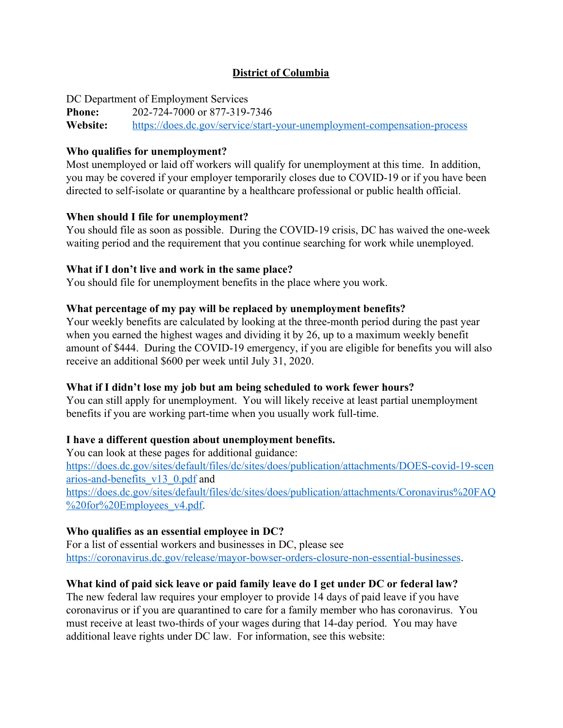# **District of Columbia**

DC Department of Employment Services

**Phone:** 202-724-7000 or 877-319-7346 **Website:** <https://does.dc.gov/service/start-your-unemployment-compensation-process>

# **Who qualifies for unemployment?**

Most unemployed or laid off workers will qualify for unemployment at this time. In addition, you may be covered if your employer temporarily closes due to COVID-19 or if you have been directed to self-isolate or quarantine by a healthcare professional or public health official.

# **When should I file for unemployment?**

You should file as soon as possible. During the COVID-19 crisis, DC has waived the one-week waiting period and the requirement that you continue searching for work while unemployed.

# **What if I don't live and work in the same place?**

You should file for unemployment benefits in the place where you work.

# **What percentage of my pay will be replaced by unemployment benefits?**

Your weekly benefits are calculated by looking at the three-month period during the past year when you earned the highest wages and dividing it by 26, up to a maximum weekly benefit amount of \$444. During the COVID-19 emergency, if you are eligible for benefits you will also receive an additional \$600 per week until July 31, 2020.

# **What if I didn't lose my job but am being scheduled to work fewer hours?**

You can still apply for unemployment. You will likely receive at least partial unemployment benefits if you are working part-time when you usually work full-time.

# **I have a different question about unemployment benefits.**

You can look at these pages for additional guidance: [https://does.dc.gov/sites/default/files/dc/sites/does/publication/attachments/DOES-covid-19-scen](https://does.dc.gov/sites/default/files/dc/sites/does/publication/attachments/DOES-covid-19-scenarios-and-benefits_v13_0.pdf) [arios-and-benefits\\_v13\\_0.pdf](https://does.dc.gov/sites/default/files/dc/sites/does/publication/attachments/DOES-covid-19-scenarios-and-benefits_v13_0.pdf) and [https://does.dc.gov/sites/default/files/dc/sites/does/publication/attachments/Coronavirus%20FAQ](https://does.dc.gov/sites/default/files/dc/sites/does/publication/attachments/Coronavirus%20FAQ%20for%20Employees_v4.pdf) [%20for%20Employees\\_v4.pdf](https://does.dc.gov/sites/default/files/dc/sites/does/publication/attachments/Coronavirus%20FAQ%20for%20Employees_v4.pdf).

# **Who qualifies as an essential employee in DC?**

For a list of essential workers and businesses in DC, please see <https://coronavirus.dc.gov/release/mayor-bowser-orders-closure-non-essential-businesses>.

# **What kind of paid sick leave or paid family leave do I get under DC or federal law?**

The new federal law requires your employer to provide 14 days of paid leave if you have coronavirus or if you are quarantined to care for a family member who has coronavirus. You must receive at least two-thirds of your wages during that 14-day period. You may have additional leave rights under DC law. For information, see this website: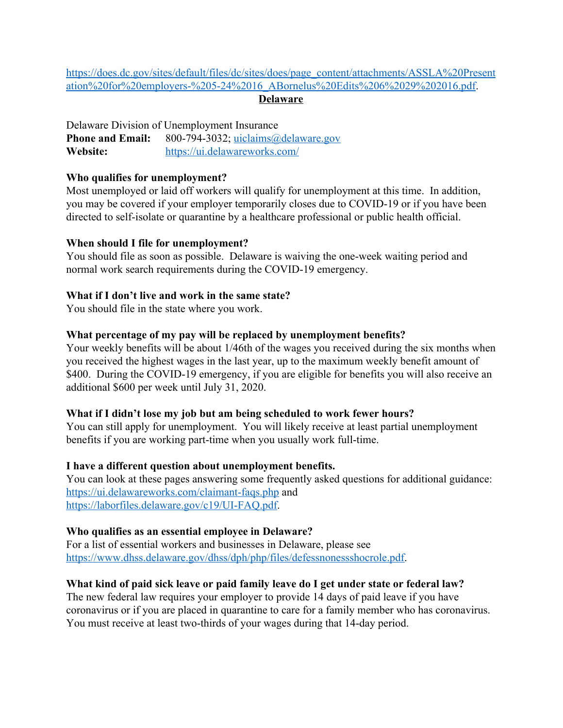[https://does.dc.gov/sites/default/files/dc/sites/does/page\\_content/attachments/ASSLA%20Present](https://does.dc.gov/sites/default/files/dc/sites/does/page_content/attachments/ASSLA%20Presentation%20for%20employers-%205-24%2016_ABornelus%20Edits%206%2029%202016.pdf) [ation%20for%20employers-%205-24%2016\\_ABornelus%20Edits%206%2029%202016.pdf.](https://does.dc.gov/sites/default/files/dc/sites/does/page_content/attachments/ASSLA%20Presentation%20for%20employers-%205-24%2016_ABornelus%20Edits%206%2029%202016.pdf)

# **Delaware**

Delaware Division of Unemployment Insurance **Phone and Email:** 800-794-3032; [uiclaims@delaware.gov](mailto:uiclaims@delaware.gov) **Website:** <https://ui.delawareworks.com/>

# **Who qualifies for unemployment?**

Most unemployed or laid off workers will qualify for unemployment at this time. In addition, you may be covered if your employer temporarily closes due to COVID-19 or if you have been directed to self-isolate or quarantine by a healthcare professional or public health official.

## **When should I file for unemployment?**

You should file as soon as possible. Delaware is waiving the one-week waiting period and normal work search requirements during the COVID-19 emergency.

# **What if I don't live and work in the same state?**

You should file in the state where you work.

## **What percentage of my pay will be replaced by unemployment benefits?**

Your weekly benefits will be about 1/46th of the wages you received during the six months when you received the highest wages in the last year, up to the maximum weekly benefit amount of \$400. During the COVID-19 emergency, if you are eligible for benefits you will also receive an additional \$600 per week until July 31, 2020.

# **What if I didn't lose my job but am being scheduled to work fewer hours?**

You can still apply for unemployment. You will likely receive at least partial unemployment benefits if you are working part-time when you usually work full-time.

# **I have a different question about unemployment benefits.**

You can look at these pages answering some frequently asked questions for additional guidance: <https://ui.delawareworks.com/claimant-faqs.php>and [https://laborfiles.delaware.gov/c19/UI-FAQ.pdf.](https://laborfiles.delaware.gov/c19/UI-FAQ.pdf)

# **Who qualifies as an essential employee in Delaware?**

For a list of essential workers and businesses in Delaware, please see [https://www.dhss.delaware.gov/dhss/dph/php/files/defessnonessshocrole.pdf.](https://www.dhss.delaware.gov/dhss/dph/php/files/defessnonessshocrole.pdf)

# **What kind of paid sick leave or paid family leave do I get under state or federal law?**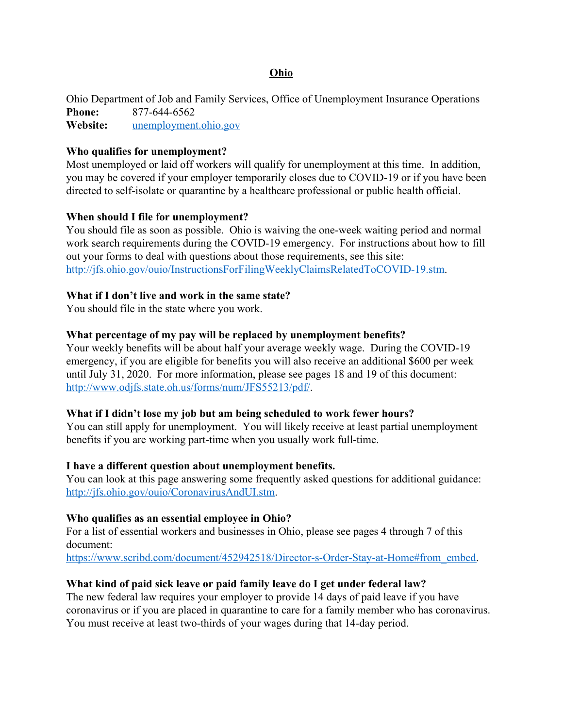#### **Ohio**

Ohio Department of Job and Family Services, Office of Unemployment Insurance Operations **Phone:** 877-644-6562 **Website:** [unemployment.ohio.gov](https://unemployment.ohio.gov/PublicSelfServiceChoice.html)

#### **Who qualifies for unemployment?**

Most unemployed or laid off workers will qualify for unemployment at this time. In addition, you may be covered if your employer temporarily closes due to COVID-19 or if you have been directed to self-isolate or quarantine by a healthcare professional or public health official.

#### **When should I file for unemployment?**

You should file as soon as possible. Ohio is waiving the one-week waiting period and normal work search requirements during the COVID-19 emergency. For instructions about how to fill out your forms to deal with questions about those requirements, see this site: [http://jfs.ohio.gov/ouio/InstructionsForFilingWeeklyClaimsRelatedToCOVID-19.stm.](http://jfs.ohio.gov/ouio/InstructionsForFilingWeeklyClaimsRelatedToCOVID-19.stm)

#### **What if I don't live and work in the same state?**

You should file in the state where you work.

#### **What percentage of my pay will be replaced by unemployment benefits?**

Your weekly benefits will be about half your average weekly wage. During the COVID-19 emergency, if you are eligible for benefits you will also receive an additional \$600 per week until July 31, 2020. For more information, please see pages 18 and 19 of this document: [http://www.odjfs.state.oh.us/forms/num/JFS55213/pdf/.](http://www.odjfs.state.oh.us/forms/num/JFS55213/pdf/)

#### **What if I didn't lose my job but am being scheduled to work fewer hours?**

You can still apply for unemployment. You will likely receive at least partial unemployment benefits if you are working part-time when you usually work full-time.

#### **I have a different question about unemployment benefits.**

You can look at this page answering some frequently asked questions for additional guidance: [http://jfs.ohio.gov/ouio/CoronavirusAndUI.stm.](http://jfs.ohio.gov/ouio/CoronavirusAndUI.stm)

#### **Who qualifies as an essential employee in Ohio?**

For a list of essential workers and businesses in Ohio, please see pages 4 through 7 of this document:

[https://www.scribd.com/document/452942518/Director-s-Order-Stay-at-Home#from\\_embed.](https://www.scribd.com/document/452942518/Director-s-Order-Stay-at-Home#from_embed)

#### **What kind of paid sick leave or paid family leave do I get under federal law?**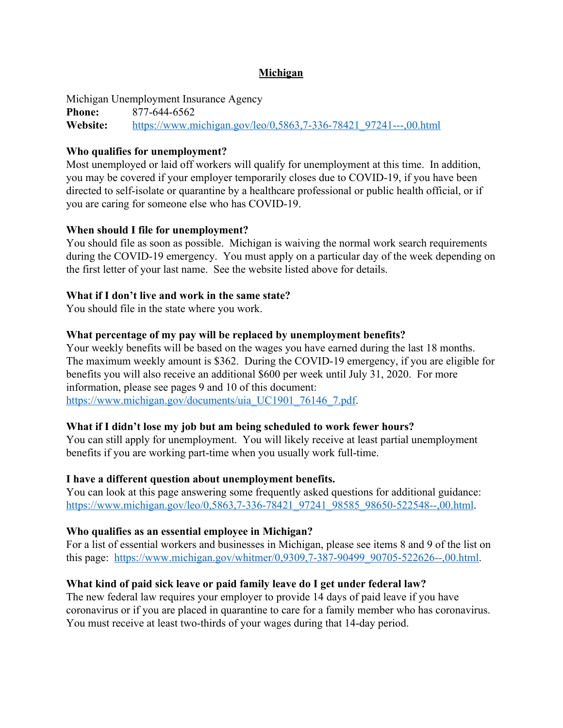# **Michigan**

Michigan Unemployment Insurance Agency **Phone:** 877-644-6562 **Website:** [https://www.michigan.gov/leo/0,5863,7-336-78421\\_97241---,00.html](https://www.michigan.gov/leo/0,5863,7-336-78421_97241---,00.html)

## **Who qualifies for unemployment?**

Most unemployed or laid off workers will qualify for unemployment at this time. In addition, you may be covered if your employer temporarily closes due to COVID-19, if you have been directed to self-isolate or quarantine by a healthcare professional or public health official, or if you are caring for someone else who has COVID-19.

## **When should I file for unemployment?**

You should file as soon as possible. Michigan is waiving the normal work search requirements during the COVID-19 emergency. You must apply on a particular day of the week depending on the first letter of your last name. See the website listed above for details.

## **What if I don't live and work in the same state?**

You should file in the state where you work.

## **What percentage of my pay will be replaced by unemployment benefits?**

Your weekly benefits will be based on the wages you have earned during the last 18 months. The maximum weekly amount is \$362. During the COVID-19 emergency, if you are eligible for benefits you will also receive an additional \$600 per week until July 31, 2020. For more information, please see pages 9 and 10 of this document: [https://www.michigan.gov/documents/uia\\_UC1901\\_76146\\_7.pdf.](https://www.michigan.gov/documents/uia_UC1901_76146_7.pdf)

#### **What if I didn't lose my job but am being scheduled to work fewer hours?**

You can still apply for unemployment. You will likely receive at least partial unemployment benefits if you are working part-time when you usually work full-time.

#### **I have a different question about unemployment benefits.**

You can look at this page answering some frequently asked questions for additional guidance: [https://www.michigan.gov/leo/0,5863,7-336-78421\\_97241\\_98585\\_98650-522548--,00.html](https://www.michigan.gov/leo/0,5863,7-336-78421_97241_98585_98650-522548--,00.html).

# **Who qualifies as an essential employee in Michigan?**

For a list of essential workers and businesses in Michigan, please see items 8 and 9 of the list on this page: [https://www.michigan.gov/whitmer/0,9309,7-387-90499\\_90705-522626--,00.html.](https://www.michigan.gov/whitmer/0,9309,7-387-90499_90705-522626--,00.html)

# **What kind of paid sick leave or paid family leave do I get under federal law?**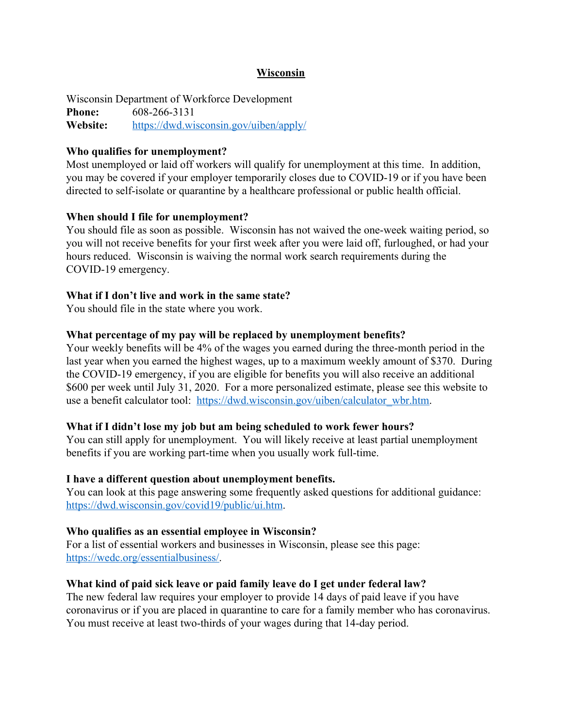#### **Wisconsin**

Wisconsin Department of Workforce Development **Phone:** 608-266-3131 **Website:** <https://dwd.wisconsin.gov/uiben/apply/>

#### **Who qualifies for unemployment?**

Most unemployed or laid off workers will qualify for unemployment at this time. In addition, you may be covered if your employer temporarily closes due to COVID-19 or if you have been directed to self-isolate or quarantine by a healthcare professional or public health official.

#### **When should I file for unemployment?**

You should file as soon as possible. Wisconsin has not waived the one-week waiting period, so you will not receive benefits for your first week after you were laid off, furloughed, or had your hours reduced. Wisconsin is waiving the normal work search requirements during the COVID-19 emergency.

#### **What if I don't live and work in the same state?**

You should file in the state where you work.

#### **What percentage of my pay will be replaced by unemployment benefits?**

Your weekly benefits will be 4% of the wages you earned during the three-month period in the last year when you earned the highest wages, up to a maximum weekly amount of \$370. During the COVID-19 emergency, if you are eligible for benefits you will also receive an additional \$600 per week until July 31, 2020. For a more personalized estimate, please see this website to use a benefit calculator tool: [https://dwd.wisconsin.gov/uiben/calculator\\_wbr.htm.](https://dwd.wisconsin.gov/uiben/calculator_wbr.htm)

#### **What if I didn't lose my job but am being scheduled to work fewer hours?**

You can still apply for unemployment. You will likely receive at least partial unemployment benefits if you are working part-time when you usually work full-time.

#### **I have a different question about unemployment benefits.**

You can look at this page answering some frequently asked questions for additional guidance: [https://dwd.wisconsin.gov/covid19/public/ui.htm.](https://dwd.wisconsin.gov/covid19/public/ui.htm)

#### **Who qualifies as an essential employee in Wisconsin?**

For a list of essential workers and businesses in Wisconsin, please see this page: <https://wedc.org/essentialbusiness/>.

#### **What kind of paid sick leave or paid family leave do I get under federal law?**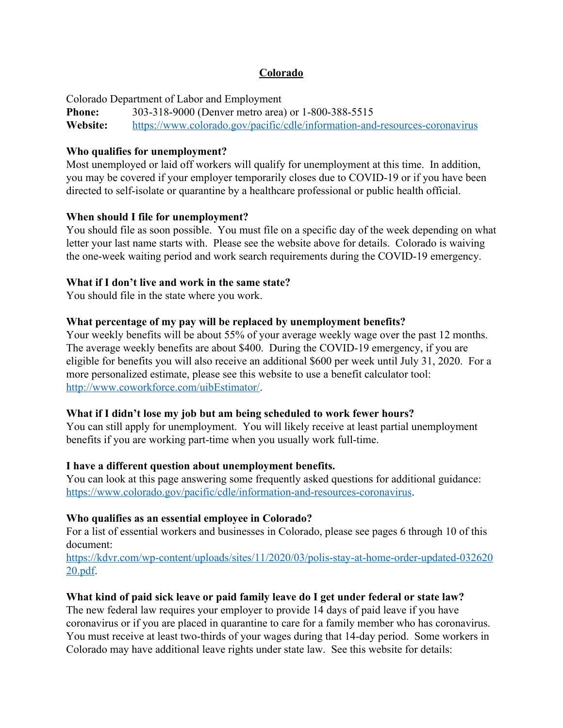# **Colorado**

Colorado Department of Labor and Employment

**Phone:** 303-318-9000 (Denver metro area) or 1-800-388-5515 **Website:** <https://www.colorado.gov/pacific/cdle/information-and-resources-coronavirus>

# **Who qualifies for unemployment?**

Most unemployed or laid off workers will qualify for unemployment at this time. In addition, you may be covered if your employer temporarily closes due to COVID-19 or if you have been directed to self-isolate or quarantine by a healthcare professional or public health official.

# **When should I file for unemployment?**

You should file as soon possible. You must file on a specific day of the week depending on what letter your last name starts with. Please see the website above for details. Colorado is waiving the one-week waiting period and work search requirements during the COVID-19 emergency.

# **What if I don't live and work in the same state?**

You should file in the state where you work.

# **What percentage of my pay will be replaced by unemployment benefits?**

Your weekly benefits will be about 55% of your average weekly wage over the past 12 months. The average weekly benefits are about \$400. During the COVID-19 emergency, if you are eligible for benefits you will also receive an additional \$600 per week until July 31, 2020. For a more personalized estimate, please see this website to use a benefit calculator tool: [http://www.coworkforce.com/uibEstimator/.](http://www.coworkforce.com/uibEstimator/)

# **What if I didn't lose my job but am being scheduled to work fewer hours?**

You can still apply for unemployment. You will likely receive at least partial unemployment benefits if you are working part-time when you usually work full-time.

# **I have a different question about unemployment benefits.**

You can look at this page answering some frequently asked questions for additional guidance: [https://www.colorado.gov/pacific/cdle/information-and-resources-coronavirus.](https://www.colorado.gov/pacific/cdle/information-and-resources-coronavirus)

# **Who qualifies as an essential employee in Colorado?**

For a list of essential workers and businesses in Colorado, please see pages 6 through 10 of this document:

[https://kdvr.com/wp-content/uploads/sites/11/2020/03/polis-stay-at-home-order-updated-032620](https://kdvr.com/wp-content/uploads/sites/11/2020/03/polis-stay-at-home-order-updated-03262020.pdf) [20.pdf.](https://kdvr.com/wp-content/uploads/sites/11/2020/03/polis-stay-at-home-order-updated-03262020.pdf)

# **What kind of paid sick leave or paid family leave do I get under federal or state law?**

The new federal law requires your employer to provide 14 days of paid leave if you have coronavirus or if you are placed in quarantine to care for a family member who has coronavirus. You must receive at least two-thirds of your wages during that 14-day period. Some workers in Colorado may have additional leave rights under state law. See this website for details: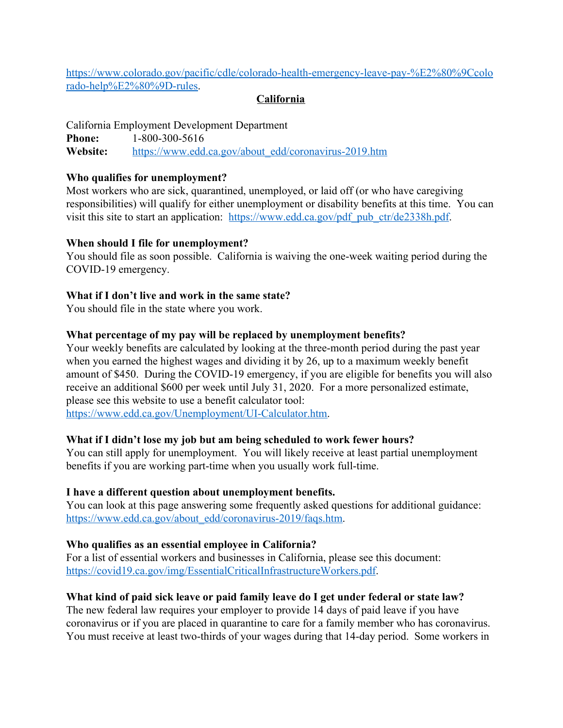[https://www.colorado.gov/pacific/cdle/colorado-health-emergency-leave-pay-%E2%80%9Ccolo](https://www.colorado.gov/pacific/cdle/colorado-health-emergency-leave-pay-%E2%80%9Ccolorado-help%E2%80%9D-rules) [rado-help%E2%80%9D-rules](https://www.colorado.gov/pacific/cdle/colorado-health-emergency-leave-pay-%E2%80%9Ccolorado-help%E2%80%9D-rules).

## **California**

California Employment Development Department **Phone:** 1-800-300-5616 **Website:** [https://www.edd.ca.gov/about\\_edd/coronavirus-2019.htm](https://www.edd.ca.gov/about_edd/coronavirus-2019.htm)

#### **Who qualifies for unemployment?**

Most workers who are sick, quarantined, unemployed, or laid off (or who have caregiving responsibilities) will qualify for either unemployment or disability benefits at this time. You can visit this site to start an application: [https://www.edd.ca.gov/pdf\\_pub\\_ctr/de2338h.pdf](https://www.edd.ca.gov/pdf_pub_ctr/de2338h.pdf).

## **When should I file for unemployment?**

You should file as soon possible. California is waiving the one-week waiting period during the COVID-19 emergency.

# **What if I don't live and work in the same state?**

You should file in the state where you work.

## **What percentage of my pay will be replaced by unemployment benefits?**

Your weekly benefits are calculated by looking at the three-month period during the past year when you earned the highest wages and dividing it by 26, up to a maximum weekly benefit amount of \$450. During the COVID-19 emergency, if you are eligible for benefits you will also receive an additional \$600 per week until July 31, 2020. For a more personalized estimate, please see this website to use a benefit calculator tool:

[https://www.edd.ca.gov/Unemployment/UI-Calculator.htm.](https://www.edd.ca.gov/Unemployment/UI-Calculator.htm)

# **What if I didn't lose my job but am being scheduled to work fewer hours?**

You can still apply for unemployment. You will likely receive at least partial unemployment benefits if you are working part-time when you usually work full-time.

#### **I have a different question about unemployment benefits.**

You can look at this page answering some frequently asked questions for additional guidance: [https://www.edd.ca.gov/about\\_edd/coronavirus-2019/faqs.htm.](https://www.edd.ca.gov/about_edd/coronavirus-2019/faqs.htm)

# **Who qualifies as an essential employee in California?**

For a list of essential workers and businesses in California, please see this document: [https://covid19.ca.gov/img/EssentialCriticalInfrastructureWorkers.pdf.](https://covid19.ca.gov/img/EssentialCriticalInfrastructureWorkers.pdf)

# **What kind of paid sick leave or paid family leave do I get under federal or state law?**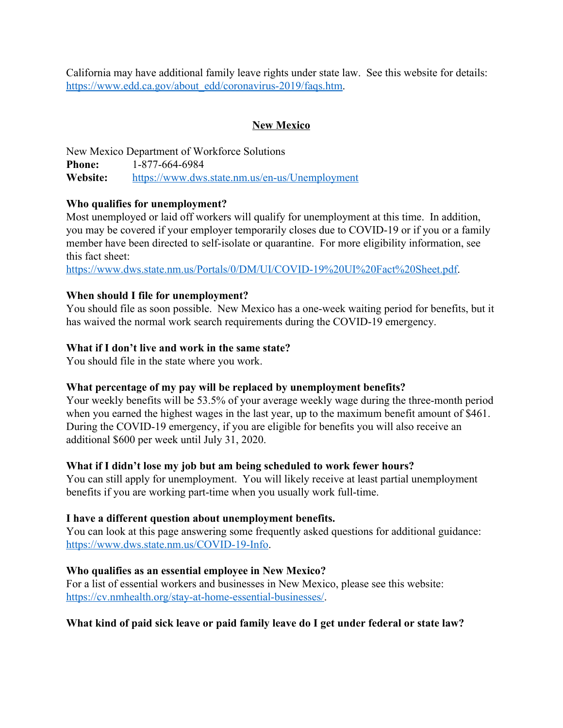California may have additional family leave rights under state law. See this website for details: [https://www.edd.ca.gov/about\\_edd/coronavirus-2019/faqs.htm.](https://www.edd.ca.gov/about_edd/coronavirus-2019/faqs.htm)

# **New Mexico**

New Mexico Department of Workforce Solutions **Phone:** 1-877-664-6984 **Website:** <https://www.dws.state.nm.us/en-us/Unemployment>

# **Who qualifies for unemployment?**

Most unemployed or laid off workers will qualify for unemployment at this time. In addition, you may be covered if your employer temporarily closes due to COVID-19 or if you or a family member have been directed to self-isolate or quarantine. For more eligibility information, see this fact sheet:

[https://www.dws.state.nm.us/Portals/0/DM/UI/COVID-19%20UI%20Fact%20Sheet.pdf.](https://www.dws.state.nm.us/Portals/0/DM/UI/COVID-19%20UI%20Fact%20Sheet.pdf)

# **When should I file for unemployment?**

You should file as soon possible. New Mexico has a one-week waiting period for benefits, but it has waived the normal work search requirements during the COVID-19 emergency.

# **What if I don't live and work in the same state?**

You should file in the state where you work.

# **What percentage of my pay will be replaced by unemployment benefits?**

Your weekly benefits will be 53.5% of your average weekly wage during the three-month period when you earned the highest wages in the last year, up to the maximum benefit amount of \$461. During the COVID-19 emergency, if you are eligible for benefits you will also receive an additional \$600 per week until July 31, 2020.

# **What if I didn't lose my job but am being scheduled to work fewer hours?**

You can still apply for unemployment. You will likely receive at least partial unemployment benefits if you are working part-time when you usually work full-time.

# **I have a different question about unemployment benefits.**

You can look at this page answering some frequently asked questions for additional guidance: [https://www.dws.state.nm.us/COVID-19-Info.](https://www.dws.state.nm.us/COVID-19-Info)

# **Who qualifies as an essential employee in New Mexico?**

For a list of essential workers and businesses in New Mexico, please see this website: <https://cv.nmhealth.org/stay-at-home-essential-businesses/>.

# **What kind of paid sick leave or paid family leave do I get under federal or state law?**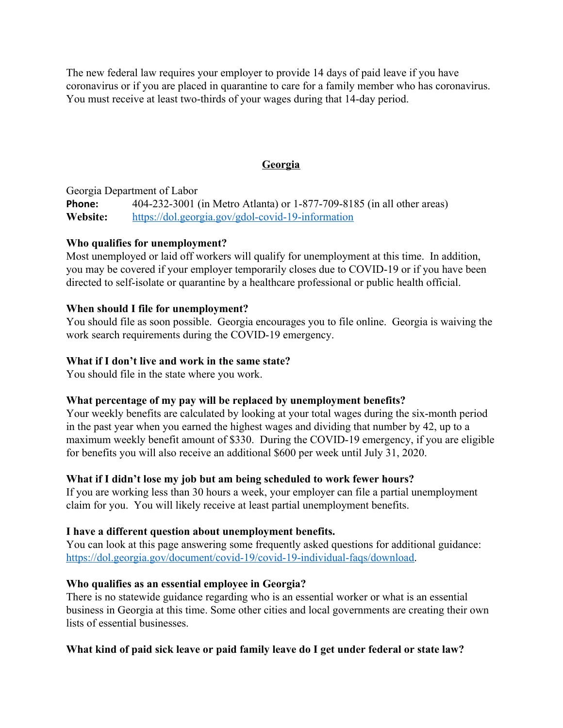The new federal law requires your employer to provide 14 days of paid leave if you have coronavirus or if you are placed in quarantine to care for a family member who has coronavirus. You must receive at least two-thirds of your wages during that 14-day period.

# **Georgia**

Georgia Department of Labor **Phone:** 404-232-3001 (in Metro Atlanta) or 1-877-709-8185 (in all other areas) **Website:** <https://dol.georgia.gov/gdol-covid-19-information>

# **Who qualifies for unemployment?**

Most unemployed or laid off workers will qualify for unemployment at this time. In addition, you may be covered if your employer temporarily closes due to COVID-19 or if you have been directed to self-isolate or quarantine by a healthcare professional or public health official.

## **When should I file for unemployment?**

You should file as soon possible. Georgia encourages you to file online. Georgia is waiving the work search requirements during the COVID-19 emergency.

## **What if I don't live and work in the same state?**

You should file in the state where you work.

# **What percentage of my pay will be replaced by unemployment benefits?**

Your weekly benefits are calculated by looking at your total wages during the six-month period in the past year when you earned the highest wages and dividing that number by 42, up to a maximum weekly benefit amount of \$330. During the COVID-19 emergency, if you are eligible for benefits you will also receive an additional \$600 per week until July 31, 2020.

# **What if I didn't lose my job but am being scheduled to work fewer hours?**

If you are working less than 30 hours a week, your employer can file a partial unemployment claim for you. You will likely receive at least partial unemployment benefits.

# **I have a different question about unemployment benefits.**

You can look at this page answering some frequently asked questions for additional guidance: [https://dol.georgia.gov/document/covid-19/covid-19-individual-faqs/download.](https://dol.georgia.gov/document/covid-19/covid-19-individual-faqs/download)

# **Who qualifies as an essential employee in Georgia?**

There is no statewide guidance regarding who is an essential worker or what is an essential business in Georgia at this time. Some other cities and local governments are creating their own lists of essential businesses.

# **What kind of paid sick leave or paid family leave do I get under federal or state law?**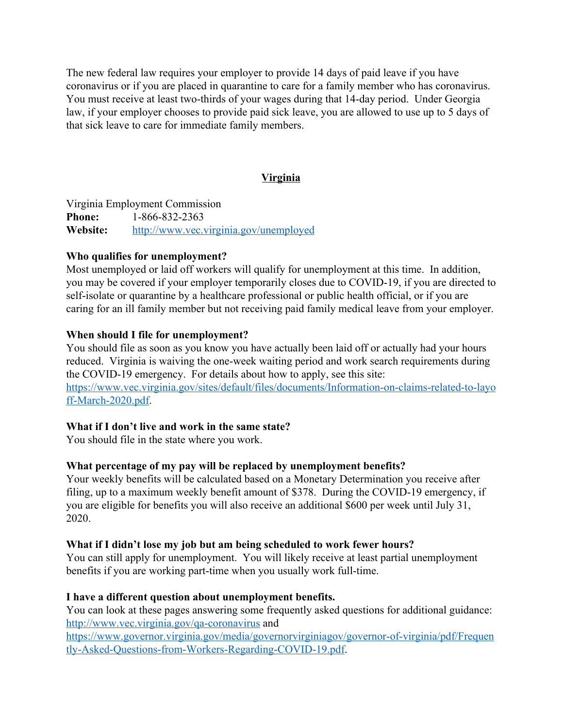The new federal law requires your employer to provide 14 days of paid leave if you have coronavirus or if you are placed in quarantine to care for a family member who has coronavirus. You must receive at least two-thirds of your wages during that 14-day period. Under Georgia law, if your employer chooses to provide paid sick leave, you are allowed to use up to 5 days of that sick leave to care for immediate family members.

## **Virginia**

Virginia Employment Commission **Phone:** 1-866-832-2363 **Website:** <http://www.vec.virginia.gov/unemployed>

## **Who qualifies for unemployment?**

Most unemployed or laid off workers will qualify for unemployment at this time. In addition, you may be covered if your employer temporarily closes due to COVID-19, if you are directed to self-isolate or quarantine by a healthcare professional or public health official, or if you are caring for an ill family member but not receiving paid family medical leave from your employer.

## **When should I file for unemployment?**

You should file as soon as you know you have actually been laid off or actually had your hours reduced. Virginia is waiving the one-week waiting period and work search requirements during the COVID-19 emergency. For details about how to apply, see this site: [https://www.vec.virginia.gov/sites/default/files/documents/Information-on-claims-related-to-layo](https://www.vec.virginia.gov/sites/default/files/documents/Information-on-claims-related-to-layoff-March-2020.pdf) [ff-March-2020.pdf](https://www.vec.virginia.gov/sites/default/files/documents/Information-on-claims-related-to-layoff-March-2020.pdf).

# **What if I don't live and work in the same state?**

You should file in the state where you work.

# **What percentage of my pay will be replaced by unemployment benefits?**

Your weekly benefits will be calculated based on a Monetary Determination you receive after filing, up to a maximum weekly benefit amount of \$378. During the COVID-19 emergency, if you are eligible for benefits you will also receive an additional \$600 per week until July 31, 2020.

# **What if I didn't lose my job but am being scheduled to work fewer hours?**

You can still apply for unemployment. You will likely receive at least partial unemployment benefits if you are working part-time when you usually work full-time.

# **I have a different question about unemployment benefits.**

You can look at these pages answering some frequently asked questions for additional guidance: <http://www.vec.virginia.gov/qa-coronavirus>and

[https://www.governor.virginia.gov/media/governorvirginiagov/governor-of-virginia/pdf/Frequen](https://www.governor.virginia.gov/media/governorvirginiagov/governor-of-virginia/pdf/Frequently-Asked-Questions-from-Workers-Regarding-COVID-19.pdf) [tly-Asked-Questions-from-Workers-Regarding-COVID-19.pdf.](https://www.governor.virginia.gov/media/governorvirginiagov/governor-of-virginia/pdf/Frequently-Asked-Questions-from-Workers-Regarding-COVID-19.pdf)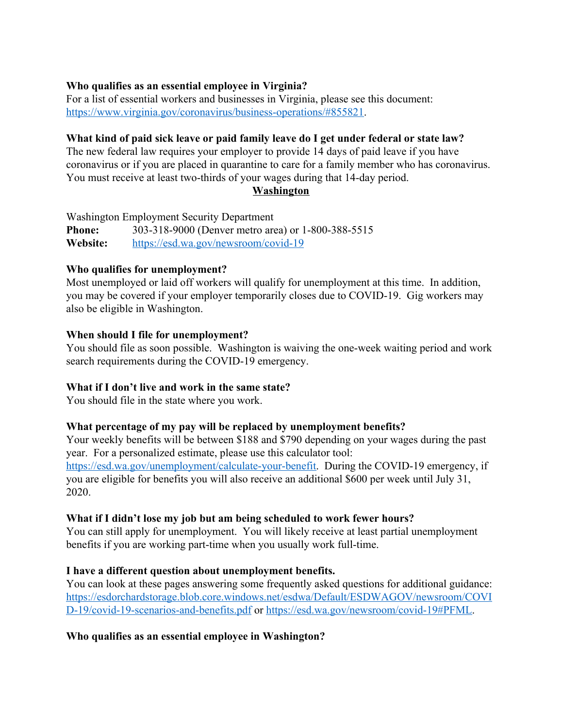# **Who qualifies as an essential employee in Virginia?**

For a list of essential workers and businesses in Virginia, please see this document: [https://www.virginia.gov/coronavirus/business-operations/#855821.](https://www.virginia.gov/coronavirus/business-operations/#855821)

# **What kind of paid sick leave or paid family leave do I get under federal or state law?**

The new federal law requires your employer to provide 14 days of paid leave if you have coronavirus or if you are placed in quarantine to care for a family member who has coronavirus. You must receive at least two-thirds of your wages during that 14-day period.

## **Washington**

Washington Employment Security Department **Phone:** 303-318-9000 (Denver metro area) or 1-800-388-5515 **Website:** <https://esd.wa.gov/newsroom/covid-19>

# **Who qualifies for unemployment?**

Most unemployed or laid off workers will qualify for unemployment at this time. In addition, you may be covered if your employer temporarily closes due to COVID-19. Gig workers may also be eligible in Washington.

## **When should I file for unemployment?**

You should file as soon possible. Washington is waiving the one-week waiting period and work search requirements during the COVID-19 emergency.

# **What if I don't live and work in the same state?**

You should file in the state where you work.

# **What percentage of my pay will be replaced by unemployment benefits?**

Your weekly benefits will be between \$188 and \$790 depending on your wages during the past year. For a personalized estimate, please use this calculator tool: [https://esd.wa.gov/unemployment/calculate-your-benefit.](https://esd.wa.gov/unemployment/calculate-your-benefit) During the COVID-19 emergency, if you are eligible for benefits you will also receive an additional \$600 per week until July 31, 2020.

# **What if I didn't lose my job but am being scheduled to work fewer hours?**

You can still apply for unemployment. You will likely receive at least partial unemployment benefits if you are working part-time when you usually work full-time.

# **I have a different question about unemployment benefits.**

You can look at these pages answering some frequently asked questions for additional guidance: [https://esdorchardstorage.blob.core.windows.net/esdwa/Default/ESDWAGOV/newsroom/COVI](https://esdorchardstorage.blob.core.windows.net/esdwa/Default/ESDWAGOV/newsroom/COVID-19/covid-19-scenarios-and-benefits.pdf) [D-19/covid-19-scenarios-and-benefits.pdf](https://esdorchardstorage.blob.core.windows.net/esdwa/Default/ESDWAGOV/newsroom/COVID-19/covid-19-scenarios-and-benefits.pdf) or [https://esd.wa.gov/newsroom/covid-19#PFML.](https://esd.wa.gov/newsroom/covid-19#PFML)

**Who qualifies as an essential employee in Washington?**